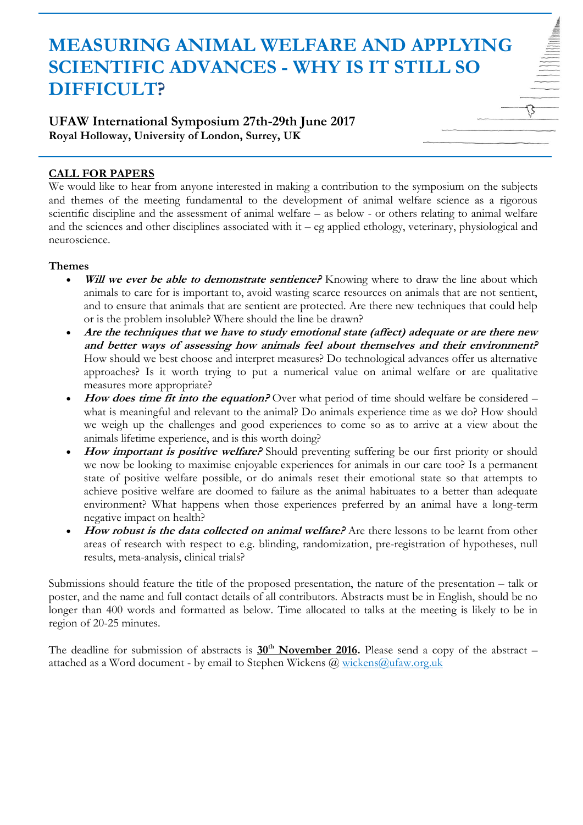# **MEASURING ANIMAL WELFARE AND APPLYING SCIENTIFIC ADVANCES - WHY IS IT STILL SO DIFFICULT?**

## **UFAW International Symposium 27th-29th June 2017 Royal Holloway, University of London, Surrey, UK**

## **CALL FOR PAPERS**

We would like to hear from anyone interested in making a contribution to the symposium on the subjects and themes of the meeting fundamental to the development of animal welfare science as a rigorous scientific discipline and the assessment of animal welfare – as below - or others relating to animal welfare and the sciences and other disciplines associated with it – eg applied ethology, veterinary, physiological and neuroscience.

#### **Themes**

- **Will we ever be able to demonstrate sentience?** Knowing where to draw the line about which animals to care for is important to, avoid wasting scarce resources on animals that are not sentient, and to ensure that animals that are sentient are protected. Are there new techniques that could help or is the problem insoluble? Where should the line be drawn?
- **Are the techniques that we have to study emotional state (affect) adequate or are there new and better ways of assessing how animals feel about themselves and their environment?** How should we best choose and interpret measures? Do technological advances offer us alternative approaches? Is it worth trying to put a numerical value on animal welfare or are qualitative measures more appropriate?
- How does time fit into the equation? Over what period of time should welfare be considered what is meaningful and relevant to the animal? Do animals experience time as we do? How should we weigh up the challenges and good experiences to come so as to arrive at a view about the animals lifetime experience, and is this worth doing?
- How important is positive welfare? Should preventing suffering be our first priority or should we now be looking to maximise enjoyable experiences for animals in our care too? Is a permanent state of positive welfare possible, or do animals reset their emotional state so that attempts to achieve positive welfare are doomed to failure as the animal habituates to a better than adequate environment? What happens when those experiences preferred by an animal have a long-term negative impact on health?
- How robust is the data collected on animal welfare? Are there lessons to be learnt from other areas of research with respect to e.g. blinding, randomization, pre-registration of hypotheses, null results, meta-analysis, clinical trials?

Submissions should feature the title of the proposed presentation, the nature of the presentation – talk or poster, and the name and full contact details of all contributors. Abstracts must be in English, should be no longer than 400 words and formatted as below. Time allocated to talks at the meeting is likely to be in region of 20-25 minutes.

The deadline for submission of abstracts is **30th November 2016.** Please send a copy of the abstract – attached as a Word document - by email to Stephen Wickens  $(a)$  wickens  $(a)$ ufaw.org.uk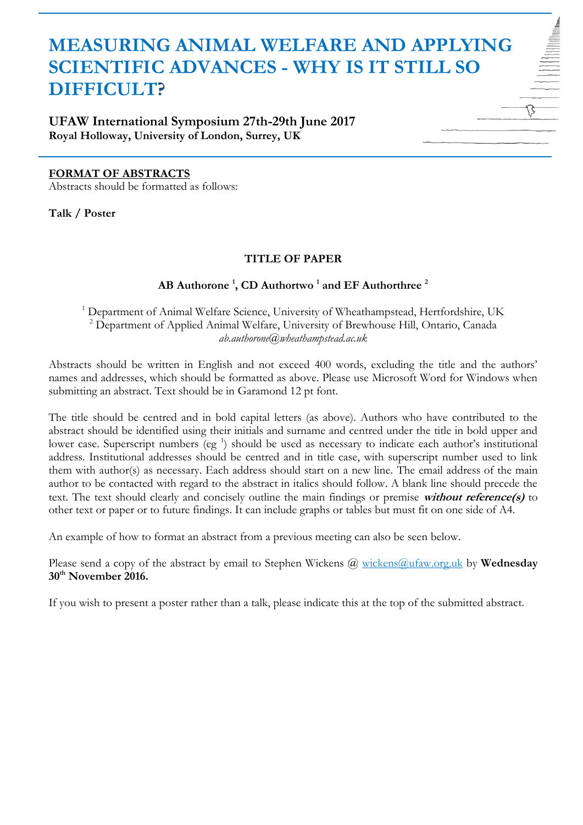# **MEASURING ANIMAL WELFARE AND APPLYING SCIENTIFIC ADVANCES - WHY IS IT STILL SO DIFFICULT?**

**UFAW International Symposium 27th-29th June 2017 Royal Holloway, University of London, Surrey, UK**

#### **FORMAT OF ABSTRACTS**

Abstracts should be formatted as follows:

**Talk / Poster**

#### **TITLE OF PAPER**

## **AB Authorone <sup>1</sup> , CD Authortwo <sup>1</sup> and EF Authorthree <sup>2</sup>**

<sup>1</sup> Department of Animal Welfare Science, University of Wheathampstead, Hertfordshire, UK <sup>2</sup> Department of Applied Animal Welfare, University of Brewhouse Hill, Ontario, Canada *ab.authorone@wheathampstead.ac.uk*

Abstracts should be written in English and not exceed 400 words, excluding the title and the authors' names and addresses, which should be formatted as above. Please use Microsoft Word for Windows when submitting an abstract. Text should be in Garamond 12 pt font.

The title should be centred and in bold capital letters (as above). Authors who have contributed to the abstract should be identified using their initials and surname and centred under the title in bold upper and lower case. Superscript numbers (eg<sup>1</sup>) should be used as necessary to indicate each author's institutional address. Institutional addresses should be centred and in title case, with superscript number used to link them with author(s) as necessary. Each address should start on a new line. The email address of the main author to be contacted with regard to the abstract in italics should follow. A blank line should precede the text. The text should clearly and concisely outline the main findings or premise **without reference(s)** to other text or paper or to future findings. It can include graphs or tables but must fit on one side of A4.

An example of how to format an abstract from a previous meeting can also be seen below.

Please send a copy of the abstract by email to Stephen Wickens @ [wickens@ufaw.org.uk](mailto:wickens@ufaw.org.uk) by **Wednesday 30th November 2016.**

If you wish to present a poster rather than a talk, please indicate this at the top of the submitted abstract.